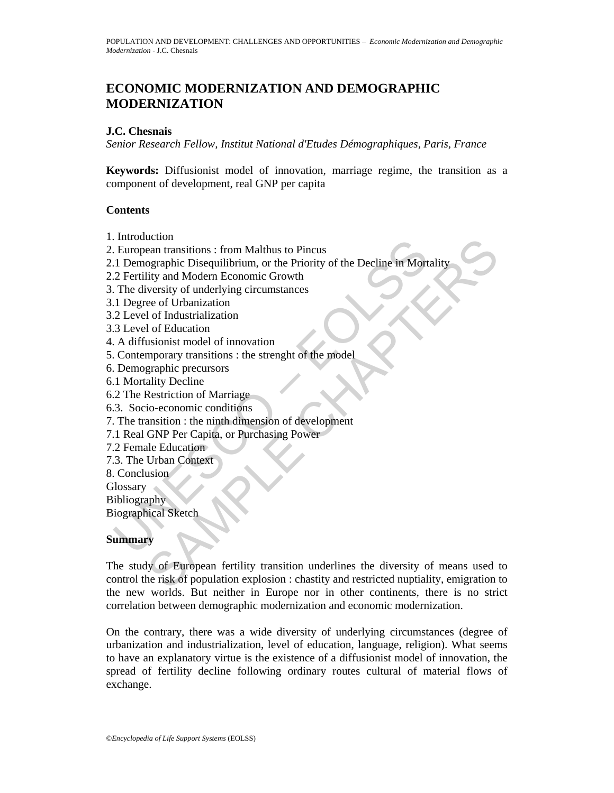# **ECONOMIC MODERNIZATION AND DEMOGRAPHIC MODERNIZATION**

#### **J.C. Chesnais**

*Senior Research Fellow, Institut National d'Etudes Démographiques, Paris, France* 

**Keywords:** Diffusionist model of innovation, marriage regime, the transition as a component of development, real GNP per capita

#### **Contents**

- 1. Introduction
- 2. European transitions : from Malthus to Pincus
- mondation<br>
European transitions : from Malthus to Pincus<br>
1 Demographic Disequilibrium, or the Priority of the Decline in Mort<br>
2 Fertility and Modern Economic Growth<br>
1 The diversity of underlying circumstances<br>
1 Degree 2.1 Demographic Disequilibrium, or the Priority of the Decline in Mortality
- 2.2 Fertility and Modern Economic Growth
- 3. The diversity of underlying circumstances
- 3.1 Degree of Urbanization
- 3.2 Level of Industrialization
- 3.3 Level of Education
- 4. A diffusionist model of innovation
- 5. Contemporary transitions : the strenght of the model
- 6. Demographic precursors
- 6.1 Mortality Decline
- 6.2 The Restriction of Marriage
- 6.3. Socio-economic conditions
- 7. The transition : the ninth dimension of development
- 7.1 Real GNP Per Capita, or Purchasing Power
- 7.2 Female Education
- 7.3. The Urban Context
- 8. Conclusion

**Glossary** 

Bibliography

Biographical Sketch

#### **Summary**

Exercition<br>
Search transitions : from Malthus to Pincus<br>
Departing Congraphic Disequilibrium, or the Priority of the Decline in Mortality<br>
Lity and Modern Economic Growth<br>
Versity of underlying circumstances<br>
ee of Urbaniz The study of European fertility transition underlines the diversity of means used to control the risk of population explosion : chastity and restricted nuptiality, emigration to the new worlds. But neither in Europe nor in other continents, there is no strict correlation between demographic modernization and economic modernization.

On the contrary, there was a wide diversity of underlying circumstances (degree of urbanization and industrialization, level of education, language, religion). What seems to have an explanatory virtue is the existence of a diffusionist model of innovation, the spread of fertility decline following ordinary routes cultural of material flows of exchange.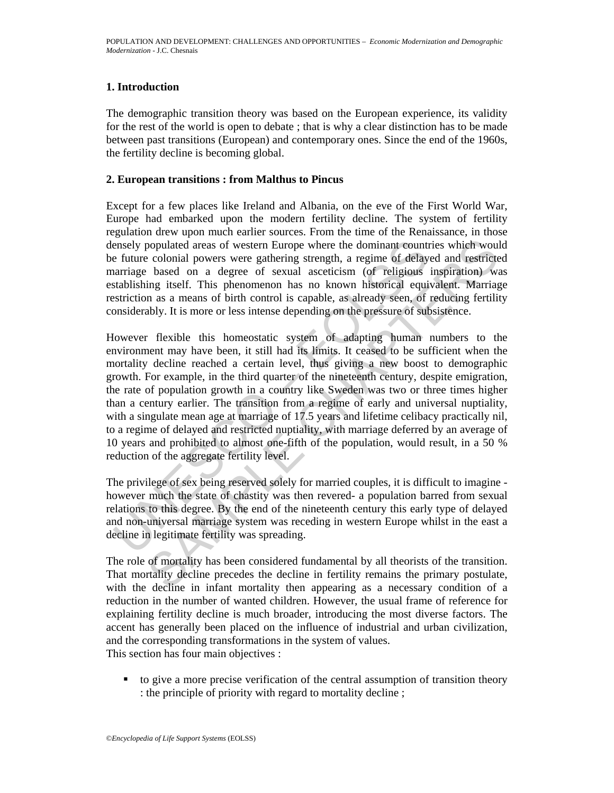## **1. Introduction**

The demographic transition theory was based on the European experience, its validity for the rest of the world is open to debate ; that is why a clear distinction has to be made between past transitions (European) and contemporary ones. Since the end of the 1960s, the fertility decline is becoming global.

#### **2. European transitions : from Malthus to Pincus**

Except for a few places like Ireland and Albania, on the eve of the First World War, Europe had embarked upon the modern fertility decline. The system of fertility regulation drew upon much earlier sources. From the time of the Renaissance, in those densely populated areas of western Europe where the dominant countries which would be future colonial powers were gathering strength, a regime of delayed and restricted marriage based on a degree of sexual asceticism (of religious inspiration) was establishing itself. This phenomenon has no known historical equivalent. Marriage restriction as a means of birth control is capable, as already seen, of reducing fertility considerably. It is more or less intense depending on the pressure of subsistence.

ensely populated areas of western Europe where the dominant count<br>e future colonial powers were gathering strength, a regime of delay<br>arringe based on a degree of sexual asceticism (of religious<br>tstablishing itself. This p populated areas of western Europe where the dominant countries which woul<br>colonial powers were gathering strength, a regime of delayed and restricte-<br>based on a degree of excual ascettisim (of religious inspiration) was<br>in However flexible this homeostatic system of adapting human numbers to the environment may have been, it still had its limits. It ceased to be sufficient when the mortality decline reached a certain level, thus giving a new boost to demographic growth. For example, in the third quarter of the nineteenth century, despite emigration, the rate of population growth in a country like Sweden was two or three times higher than a century earlier. The transition from a regime of early and universal nuptiality, with a singulate mean age at marriage of 17.5 years and lifetime celibacy practically nil, to a regime of delayed and restricted nuptiality, with marriage deferred by an average of 10 years and prohibited to almost one-fifth of the population, would result, in a 50 % reduction of the aggregate fertility level.

The privilege of sex being reserved solely for married couples, it is difficult to imagine however much the state of chastity was then revered- a population barred from sexual relations to this degree. By the end of the nineteenth century this early type of delayed and non-universal marriage system was receding in western Europe whilst in the east a decline in legitimate fertility was spreading.

The role of mortality has been considered fundamental by all theorists of the transition. That mortality decline precedes the decline in fertility remains the primary postulate, with the decline in infant mortality then appearing as a necessary condition of a reduction in the number of wanted children. However, the usual frame of reference for explaining fertility decline is much broader, introducing the most diverse factors. The accent has generally been placed on the influence of industrial and urban civilization, and the corresponding transformations in the system of values. This section has four main objectives :

 to give a more precise verification of the central assumption of transition theory : the principle of priority with regard to mortality decline ;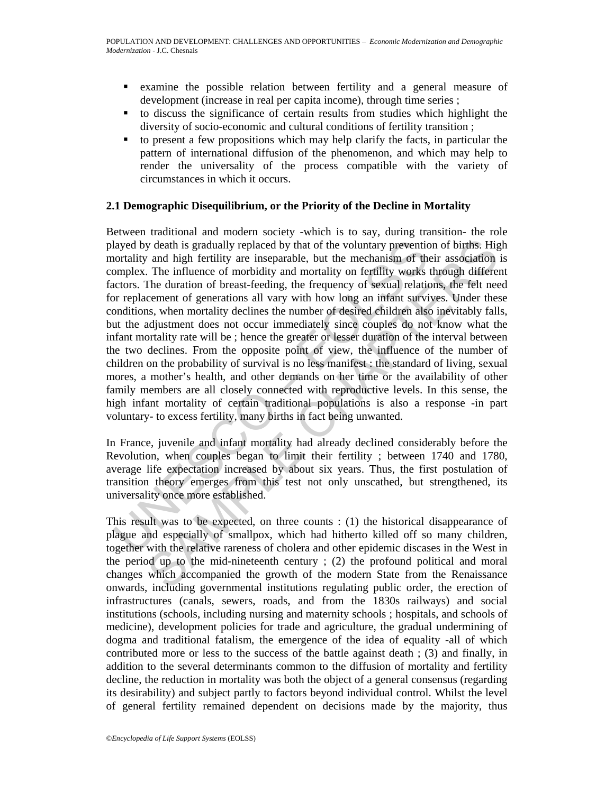- examine the possible relation between fertility and a general measure of development (increase in real per capita income), through time series ;
- to discuss the significance of certain results from studies which highlight the diversity of socio-economic and cultural conditions of fertility transition ;
- $\bullet$  to present a few propositions which may help clarify the facts, in particular the pattern of international diffusion of the phenomenon, and which may help to render the universality of the process compatible with the variety of circumstances in which it occurs.

#### **2.1 Demographic Disequilibrium, or the Priority of the Decline in Mortality**

layed by death is gradually replaced by that of the voluntary preventiontality and high fertility are inseparable, but the mechanism of the mechanism of morbidity and mortality on fertility werks. The influence of morbidit y death is gradually replaced by that of the voluntary prevention of births. Hig and high fertility are inseparable, but the mechanism of their association T. The influence of morbidity and mortality on fertility works thr Between traditional and modern society -which is to say, during transition- the role played by death is gradually replaced by that of the voluntary prevention of births. High mortality and high fertility are inseparable, but the mechanism of their association is complex. The influence of morbidity and mortality on fertility works through different factors. The duration of breast-feeding, the frequency of sexual relations, the felt need for replacement of generations all vary with how long an infant survives. Under these conditions, when mortality declines the number of desired children also inevitably falls, but the adjustment does not occur immediately since couples do not know what the infant mortality rate will be ; hence the greater or lesser duration of the interval between the two declines. From the opposite point of view, the influence of the number of children on the probability of survival is no less manifest : the standard of living, sexual mores, a mother's health, and other demands on her time or the availability of other family members are all closely connected with reproductive levels. In this sense, the high infant mortality of certain traditional populations is also a response -in part voluntary- to excess fertility, many births in fact being unwanted.

In France, juvenile and infant mortality had already declined considerably before the Revolution, when couples began to limit their fertility ; between 1740 and 1780, average life expectation increased by about six years. Thus, the first postulation of transition theory emerges from this test not only unscathed, but strengthened, its universality once more established.

This result was to be expected, on three counts : (1) the historical disappearance of plague and especially of smallpox, which had hitherto killed off so many children, together with the relative rareness of cholera and other epidemic discases in the West in the period up to the mid-nineteenth century ; (2) the profound political and moral changes which accompanied the growth of the modern State from the Renaissance onwards, including governmental institutions regulating public order, the erection of infrastructures (canals, sewers, roads, and from the 1830s railways) and social institutions (schools, including nursing and maternity schools ; hospitals, and schools of medicine), development policies for trade and agriculture, the gradual undermining of dogma and traditional fatalism, the emergence of the idea of equality -all of which contributed more or less to the success of the battle against death ; (3) and finally, in addition to the several determinants common to the diffusion of mortality and fertility decline, the reduction in mortality was both the object of a general consensus (regarding its desirability) and subject partly to factors beyond individual control. Whilst the level of general fertility remained dependent on decisions made by the majority, thus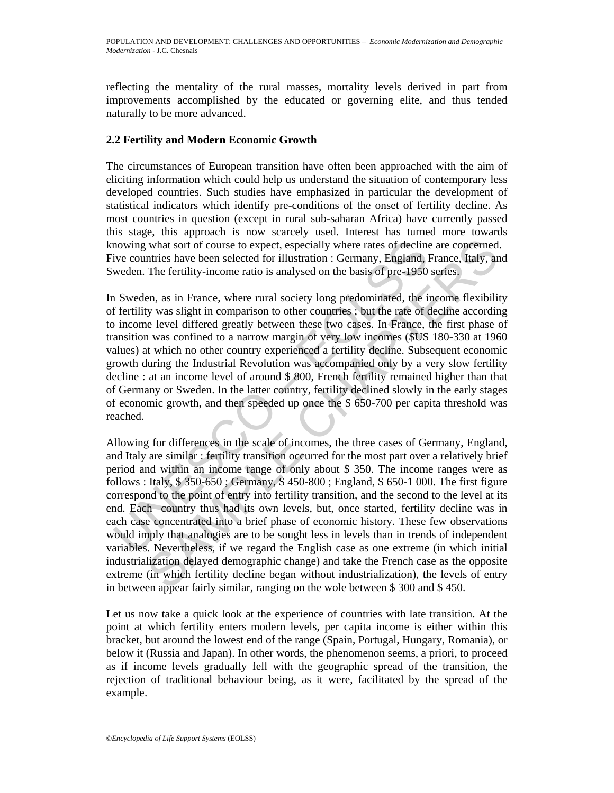reflecting the mentality of the rural masses, mortality levels derived in part from improvements accomplished by the educated or governing elite, and thus tended naturally to be more advanced.

### **2.2 Fertility and Modern Economic Growth**

The circumstances of European transition have often been approached with the aim of eliciting information which could help us understand the situation of contemporary less developed countries. Such studies have emphasized in particular the development of statistical indicators which identify pre-conditions of the onset of fertility decline. As most countries in question (except in rural sub-saharan Africa) have currently passed this stage, this approach is now scarcely used. Interest has turned more towards knowing what sort of course to expect, especially where rates of decline are concerned. Five countries have been selected for illustration : Germany, England, France, Italy, and Sweden. The fertility-income ratio is analysed on the basis of pre-1950 series.

mowing what sort of course to expect, especially where rates of declinative countries have been selected for illustration : Germany, England, 1 weden. The fertility-income ratio is analysed on the basis of pre-1950 a Swede In Sweden, as in France, where rural society long predominated, the income flexibility of fertility was slight in comparison to other countries ; but the rate of decline according to income level differed greatly between these two cases. In France, the first phase of transition was confined to a narrow margin of very low incomes (\$US 180-330 at 1960 values) at which no other country experienced a fertility decline. Subsequent economic growth during the Industrial Revolution was accompanied only by a very slow fertility decline : at an income level of around \$ 800, French fertility remained higher than that of Germany or Sweden. In the latter country, fertility declined slowly in the early stages of economic growth, and then speeded up once the \$ 650-700 per capita threshold was reached.

what sort of course to expect, especially where rates of decline are concerned.<br>thries have been selected for illustration : Germany, England, France, Italy, an<br>The fertility-income ratio is analysed on the basis of pre-1 Allowing for differences in the scale of incomes, the three cases of Germany, England, and Italy are similar : fertility transition occurred for the most part over a relatively brief period and within an income range of only about \$ 350. The income ranges were as follows : Italy, \$ 350-650 ; Germany, \$ 450-800 ; England, \$ 650-1 000. The first figure correspond to the point of entry into fertility transition, and the second to the level at its end. Each country thus had its own levels, but, once started, fertility decline was in each case concentrated into a brief phase of economic history. These few observations would imply that analogies are to be sought less in levels than in trends of independent variables. Nevertheless, if we regard the English case as one extreme (in which initial industrialization delayed demographic change) and take the French case as the opposite extreme (in which fertility decline began without industrialization), the levels of entry in between appear fairly similar, ranging on the wole between \$ 300 and \$ 450.

Let us now take a quick look at the experience of countries with late transition. At the point at which fertility enters modern levels, per capita income is either within this bracket, but around the lowest end of the range (Spain, Portugal, Hungary, Romania), or below it (Russia and Japan). In other words, the phenomenon seems, a priori, to proceed as if income levels gradually fell with the geographic spread of the transition, the rejection of traditional behaviour being, as it were, facilitated by the spread of the example.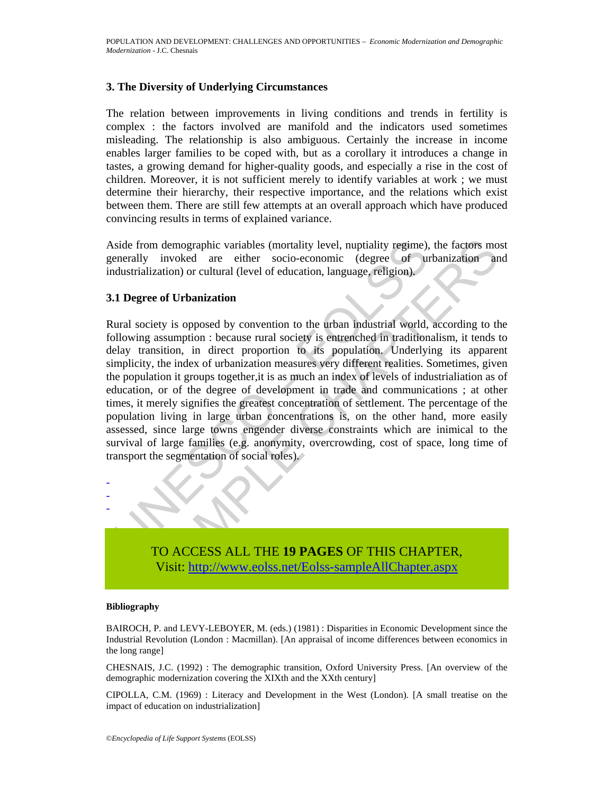#### **3. The Diversity of Underlying Circumstances**

The relation between improvements in living conditions and trends in fertility is complex : the factors involved are manifold and the indicators used sometimes misleading. The relationship is also ambiguous. Certainly the increase in income enables larger families to be coped with, but as a corollary it introduces a change in tastes, a growing demand for higher-quality goods, and especially a rise in the cost of children. Moreover, it is not sufficient merely to identify variables at work ; we must determine their hierarchy, their respective importance, and the relations which exist between them. There are still few attempts at an overall approach which have produced convincing results in terms of explained variance.

Aside from demographic variables (mortality level, nuptiality regime), the factors most generally invoked are either socio-economic (degree of urbanization and industrialization) or cultural (level of education, language, religion).

#### **3.1 Degree of Urbanization**

side from demographic variables (mortality level, nuptiality regime),<br>enerally invoked are either socio-economic (degree of undustrialization) or cultural (level of education, language, religion).<br>
1 Degree of Urbanization Im demographic variables (mortality level, nuptiality regime), the factors momentum<br>
Constrained are either socio-economic (degree of urbanization and<br>
Chaptianization or cultural (level of education, language, religion).<br> Rural society is opposed by convention to the urban industrial world, according to the following assumption : because rural society is entrenched in traditionalism, it tends to delay transition, in direct proportion to its population. Underlying its apparent simplicity, the index of urbanization measures very different realities. Sometimes, given the population it groups together,it is as much an index of levels of industrialiation as of education, or of the degree of development in trade and communications ; at other times, it merely signifies the greatest concentration of settlement. The percentage of the population living in large urban concentrations is, on the other hand, more easily assessed, since large towns engender diverse constraints which are inimical to the survival of large families (e.g. anonymity, overcrowding, cost of space, long time of transport the segmentation of social roles).



#### **Bibliography**

- - -

BAIROCH, P. and LEVY-LEBOYER, M. (eds.) (1981) : Disparities in Economic Development since the Industrial Revolution (London : Macmillan). [An appraisal of income differences between economics in the long range]

CHESNAIS, J.C. (1992) : The demographic transition, Oxford University Press. [An overview of the demographic modernization covering the XIXth and the XXth century]

CIPOLLA, C.M. (1969) : Literacy and Development in the West (London). [A small treatise on the impact of education on industrialization]